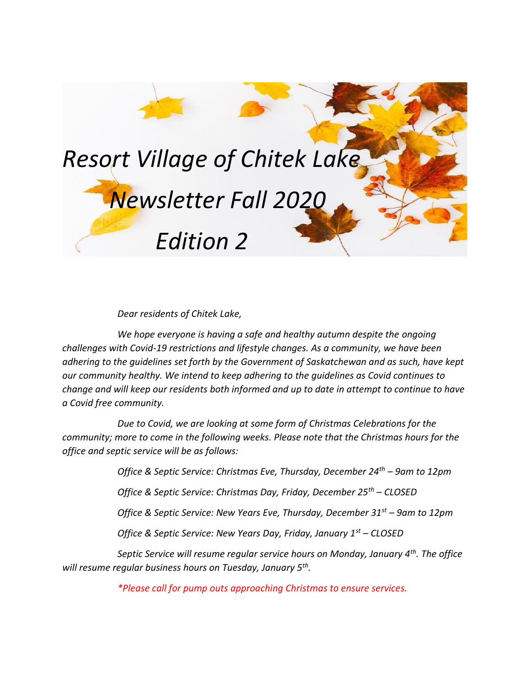

*Dear residents of Chitek Lake,*

*We hope everyone is having a safe and healthy autumn despite the ongoing challenges with Covid-19 restrictions and lifestyle changes. As a community, we have been adhering to the guidelines set forth by the Government of Saskatchewan and as such, have kept our community healthy. We intend to keep adhering to the guidelines as Covid continues to change and will keep our residents both informed and up to date in attempt to continue to have a Covid free community.*

*Due to Covid, we are looking at some form of Christmas Celebrations for the community; more to come in the following weeks. Please note that the Christmas hours for the office and septic service will be as follows:*

*Office & Septic Service: Christmas Eve, Thursday, December 24th – 9am to 12pm*

*Office & Septic Service: Christmas Day, Friday, December 25th – CLOSED*

*Office & Septic Service: New Years Eve, Thursday, December 31st – 9am to 12pm*

*Office & Septic Service: New Years Day, Friday, January 1st – CLOSED*

*Septic Service will resume regular service hours on Monday, January 4th. The office will resume regular business hours on Tuesday, January 5th .* 

*\*Please call for pump outs approaching Christmas to ensure services.*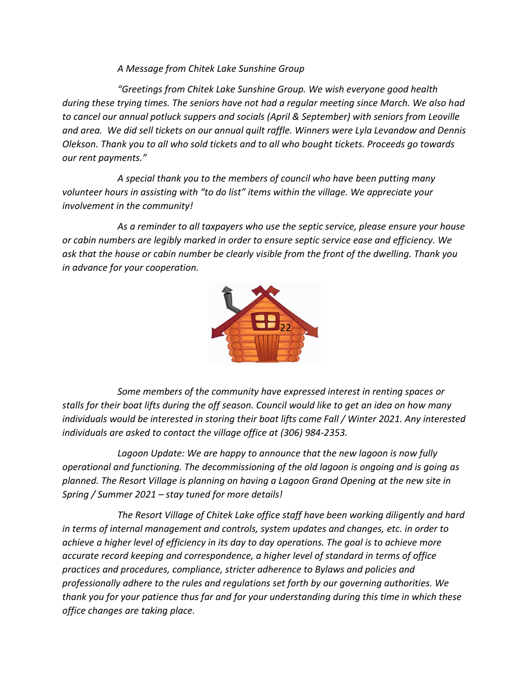## *A Message from Chitek Lake Sunshine Group*

*"Greetings from Chitek Lake Sunshine Group. We wish everyone good health during these trying times. The seniors have not had a regular meeting since March. We also had to cancel our annual potluck suppers and socials (April & September) with seniors from Leoville and area. We did sell tickets on our annual quilt raffle. Winners were Lyla Levandow and Dennis Olekson. Thank you to all who sold tickets and to all who bought tickets. Proceeds go towards our rent payments."*

*A special thank you to the members of council who have been putting many volunteer hours in assisting with "to do list" items within the village. We appreciate your involvement in the community!* 

*As a reminder to all taxpayers who use the septic service, please ensure your house or cabin numbers are legibly marked in order to ensure septic service ease and efficiency. We ask that the house or cabin number be clearly visible from the front of the dwelling. Thank you in advance for your cooperation.* 



 *Some members of the community have expressed interest in renting spaces or stalls for their boat lifts during the off season. Council would like to get an idea on how many individuals would be interested in storing their boat lifts come Fall / Winter 2021. Any interested individuals are asked to contact the village office at (306) 984-2353.*

*Lagoon Update: We are happy to announce that the new lagoon is now fully operational and functioning. The decommissioning of the old lagoon is ongoing and is going as planned. The Resort Village is planning on having a Lagoon Grand Opening at the new site in Spring / Summer 2021 – stay tuned for more details!*

*The Resort Village of Chitek Lake office staff have been working diligently and hard in terms of internal management and controls, system updates and changes, etc. in order to achieve a higher level of efficiency in its day to day operations. The goal is to achieve more accurate record keeping and correspondence, a higher level of standard in terms of office practices and procedures, compliance, stricter adherence to Bylaws and policies and professionally adhere to the rules and regulations set forth by our governing authorities. We thank you for your patience thus far and for your understanding during this time in which these office changes are taking place.*